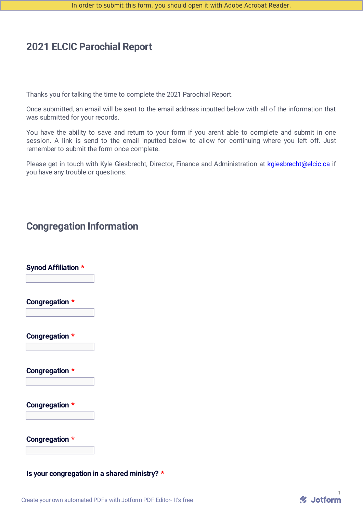## **2021 ELCIC Parochial Report**

Thanks you for talking the time to complete the 2021 Parochial Report.

Once submitted, an email will be sent to the email address inputted below with all of the information that was submitted for your records.

You have the ability to save and return to your form if you aren't able to complete and submit in one session. A link is send to the email inputted below to allow for continuing where you left off. Just remember to submit the form once complete.

Please get in touch with Kyle Giesbrecht, Director, Finance and Administration at kgiesbrecht@elcic.ca if you have any trouble or questions.

## **Congregation Information**

| <b>Synod Affiliation *</b> | $\overline{\phantom{a}}$ |
|----------------------------|--------------------------|
| Congregation *             | $\Box$                   |
| Congregation *             | $\overline{\mathbf{r}}$  |
| Congregation *             | $\Box$                   |
| Congregation *             | $\vert \textbf{v} \vert$ |
| Congregation *             |                          |

#### **Is your congregation in a shared ministry? \***

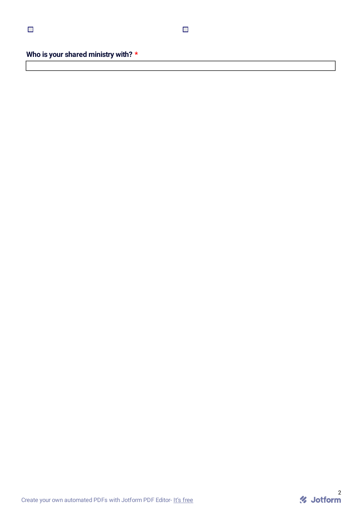**Who is your shared ministry with? \***

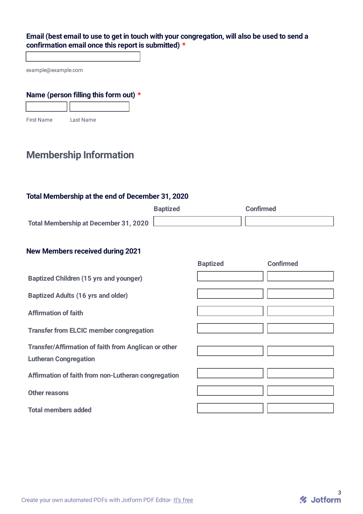#### Email (best email to use to get in touch with your congregation, will also be used to send a **confirmation email once this report is submitted) \***

example@example.com

#### **Name (person filling this form out) \***

First Name Last Name

# **Membership Information**

#### **Total Membership at the end of December 31, 2020**

|                                       | <b>Baptized</b> | <b>Confirmed</b> |
|---------------------------------------|-----------------|------------------|
| Total Membership at December 31, 2020 |                 |                  |

#### **New Members received during 2021**

|                                                                                      | <b>Baptized</b> | <b>Confirmed</b> |
|--------------------------------------------------------------------------------------|-----------------|------------------|
| <b>Baptized Children (15 yrs and younger)</b>                                        |                 |                  |
| <b>Baptized Adults (16 yrs and older)</b>                                            |                 |                  |
| <b>Affirmation of faith</b>                                                          |                 |                  |
| <b>Transfer from ELCIC member congregation</b>                                       |                 |                  |
| Transfer/Affirmation of faith from Anglican or other<br><b>Lutheran Congregation</b> |                 |                  |
| Affirmation of faith from non-Lutheran congregation                                  |                 |                  |
| Other reasons                                                                        |                 |                  |
| <b>Total members added</b>                                                           |                 |                  |

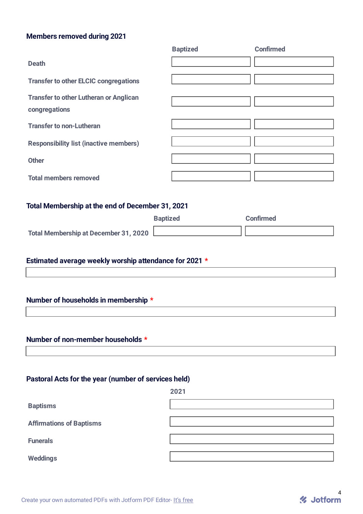#### **Members removed during 2021**

|                                                                | <b>Baptized</b> | <b>Confirmed</b> |
|----------------------------------------------------------------|-----------------|------------------|
| <b>Death</b>                                                   |                 |                  |
| <b>Transfer to other ELCIC congregations</b>                   |                 |                  |
| <b>Transfer to other Lutheran or Anglican</b><br>congregations |                 |                  |
| <b>Transfer to non-Lutheran</b>                                |                 |                  |
| <b>Responsibility list (inactive members)</b>                  |                 |                  |
| <b>Other</b>                                                   |                 |                  |
| <b>Total members removed</b>                                   |                 |                  |

## **Total Membership at the end of December 31, 2021**

|                                              | <b>Baptized</b> | Confirmed |
|----------------------------------------------|-----------------|-----------|
| <b>Total Membership at December 31, 2020</b> |                 |           |

## **Estimated average weekly worship attendance for 2021 \***

## **Number of households in membership \***

### **Number of non-member households \***

## **Pastoral Acts for the year (number of services held)**

|                                 | 2021 |
|---------------------------------|------|
| <b>Baptisms</b>                 |      |
| <b>Affirmations of Baptisms</b> |      |
| <b>Funerals</b>                 |      |
| <b>Weddings</b>                 |      |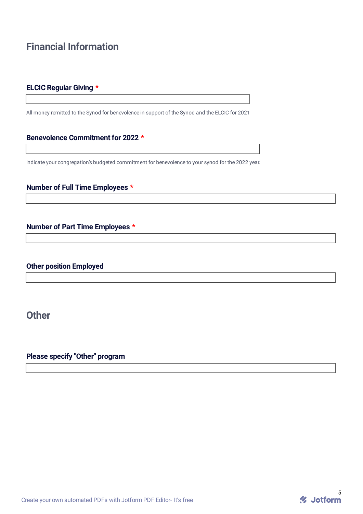# **Financial Information**

### **ELCIC Regular Giving \***

All money remitted to the Synod for benevolence in support of the Synod and the ELCIC for 2021

#### **Benevolence Commitment for 2022 \***

Indicate your congregation's budgeted commitment for benevolence to your synod for the 2022 year.

#### **Number of Full Time Employees \***

### **Number of Part Time Employees \***

## **Other position Employed**

**Other**

**Please specify "Other" program**